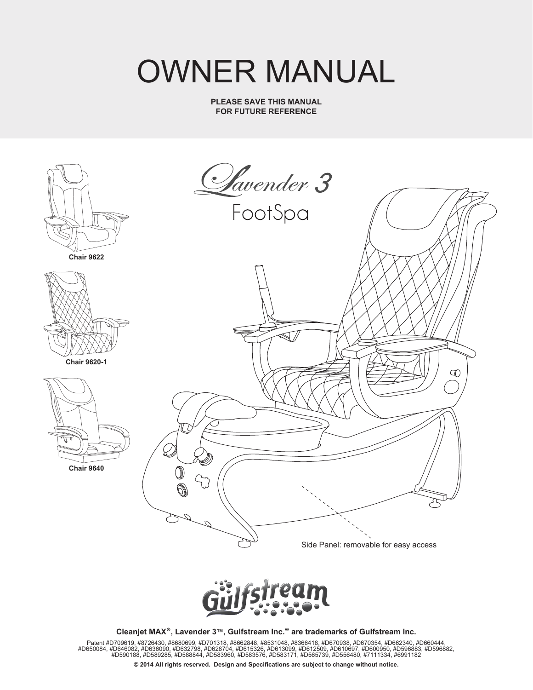# OWNER MANUAL

**PLEASE SAVE THIS MANUAL FOR FUTURE REFERENCE**





**Cleanjet MAX®, Lavender 3™, Gulfstream Inc.® are trademarks of Gulfstream Inc.**

Patent #D709619, #8726430, #8680699, #D701318, #8662848, #8531048, #8366418, #D670398, #D670354, #D662340, #D660444,<br>{1D650084, #D650084, #D646082, #D636090, #D632798, #D638798, #D6988704, #D650084, #D6400850, #D690089, #

**© 2014 All rights reserved. Design and Specifications are subject to change without notice.**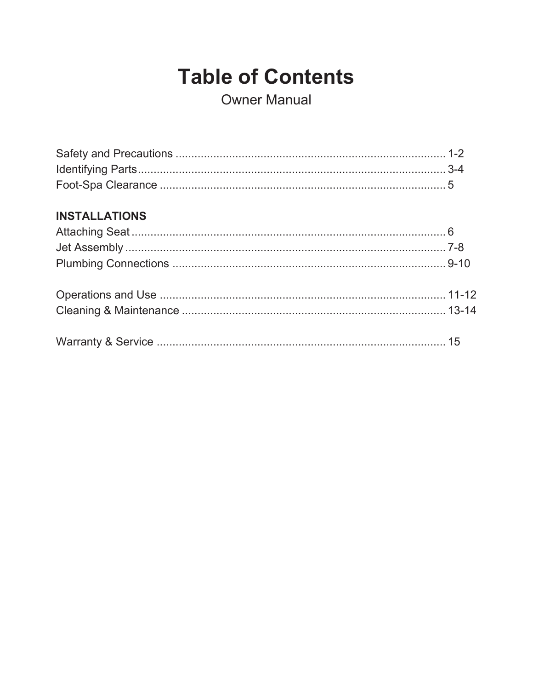## **Table of Contents**

**Owner Manual** 

## **INSTALLATIONS**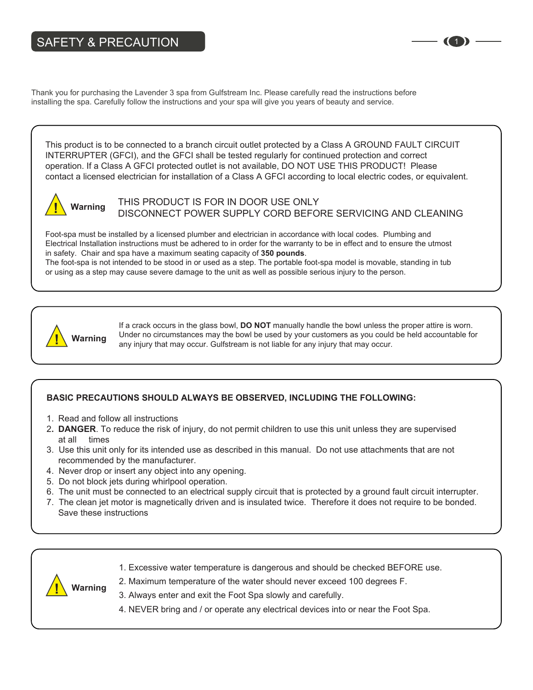## SAFETY & PRECAUTION

Thank you for purchasing the Lavender 3 spa from Gulfstream Inc. Please carefully read the instructions before installing the spa. Carefully follow the instructions and your spa will give you years of beauty and service.

This product is to be connected to a branch circuit outlet protected by a Class A GROUND FAULT CIRCUIT INTERRUPTER (GFCI), and the GFCI shall be tested regularly for continued protection and correct operation. If a Class A GFCI protected outlet is not available, DO NOT USE THIS PRODUCT! Please contact a licensed electrician for installation of a Class A GFCI according to local electric codes, or equivalent.



THIS PRODUCT IS FOR IN DOOR USE ONLY DISCONNECT POWER SUPPLY CORD BEFORE SERVICING AND CLEANING

Foot-spa must be installed by a licensed plumber and electrician in accordance with local codes. Plumbing and Electrical Installation instructions must be adhered to in order for the warranty to be in effect and to ensure the utmost in safety. Chair and spa have a maximum seating capacity of **350 pounds**. The foot-spa is not intended to be stood in or used as a step. The portable foot-spa model is movable, standing in tub or using as a step may cause severe damage to the unit as well as possible serious injury to the person.



If a crack occurs in the glass bowl, **DO NOT** manually handle the bowl unless the proper attire is worn. Under no circumstances may the bowl be used by your customers as you could be held accountable for **Warning** and the clicumstances may the bowl be used by your customers as you could any injury that may occur. Gulfstream is not liable for any injury that may occur.

## **BASIC PRECAUTIONS SHOULD ALWAYS BE OBSERVED, INCLUDING THE FOLLOWING:**

1. Read and follow all instructions

**Warning**

- 2**. DANGER**. To reduce the risk of injury, do not permit children to use this unit unless they are supervised at all times
- 3. Use this unit only for its intended use as described in this manual. Do not use attachments that are not recommended by the manufacturer.
- 4. Never drop or insert any object into any opening.
- 5. Do not block jets during whirlpool operation.
- 6. The unit must be connected to an electrical supply circuit that is protected by a ground fault circuit interrupter.
- 7. The clean jet motor is magnetically driven and is insulated twice. Therefore it does not require to be bonded. Save these instructions



- 2. Maximum temperature of the water should never exceed 100 degrees F.
- 3. Always enter and exit the Foot Spa slowly and carefully.
- 4. NEVER bring and / or operate any electrical devices into or near the Foot Spa.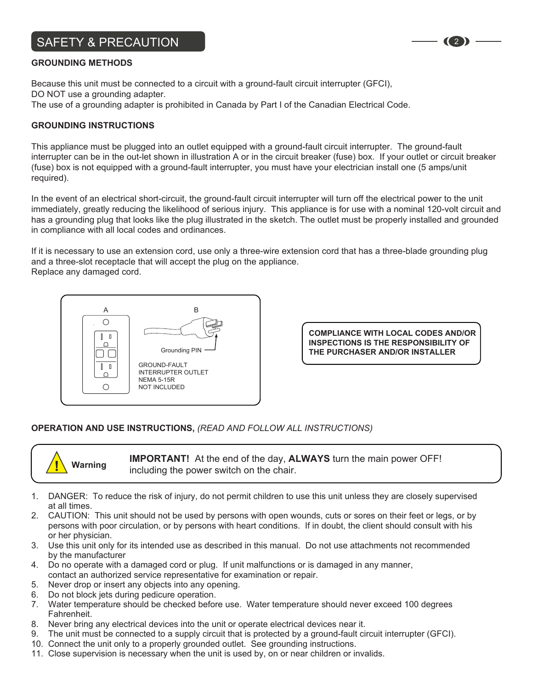## SAFETY & PRECAUTION <sup>2</sup>

#### **GROUNDING METHODS**

Because this unit must be connected to a circuit with a ground-fault circuit interrupter (GFCI), DO NOT use a grounding adapter. The use of a grounding adapter is prohibited in Canada by Part I of the Canadian Electrical Code.

#### **GROUNDING INSTRUCTIONS**

This appliance must be plugged into an outlet equipped with a ground-fault circuit interrupter. The ground-fault interrupter can be in the out-let shown in illustration A or in the circuit breaker (fuse) box. If your outlet or circuit breaker (fuse) box is not equipped with a ground-fault interrupter, you must have your electrician install one (5 amps/unit required).

In the event of an electrical short-circuit, the ground-fault circuit interrupter will turn off the electrical power to the unit immediately, greatly reducing the likelihood of serious injury. This appliance is for use with a nominal 120-volt circuit and has a grounding plug that looks like the plug illustrated in the sketch. The outlet must be properly installed and grounded in compliance with all local codes and ordinances.

If it is necessary to use an extension cord, use only a three-wire extension cord that has a three-blade grounding plug and a three-slot receptacle that will accept the plug on the appliance. Replace any damaged cord.



**COMPLIANCE WITH LOCAL CODES AND/OR INSPECTIONS IS THE RESPONSIBILITY OF THE PURCHASER AND/OR INSTALLER**

### **OPERATION AND USE INSTRUCTIONS,** *(READ AND FOLLOW ALL INSTRUCTIONS)*



**IMPORTANT!** At the end of the day, **ALWAYS** turn the main power OFF! **Warning** including the power switch on the chair.

- 1. DANGER: To reduce the risk of injury, do not permit children to use this unit unless they are closely supervised at all times.
- 2. CAUTION: This unit should not be used by persons with open wounds, cuts or sores on their feet or legs, or by persons with poor circulation, or by persons with heart conditions. If in doubt, the client should consult with his or her physician.
- 3. Use this unit only for its intended use as described in this manual. Do not use attachments not recommended by the manufacturer
- 4. Do no operate with a damaged cord or plug. If unit malfunctions or is damaged in any manner, contact an authorized service representative for examination or repair.
- 5. Never drop or insert any objects into any opening.
- 6. Do not block jets during pedicure operation.
- 7. Water temperature should be checked before use. Water temperature should never exceed 100 degrees Fahrenheit.
- 8. Never bring any electrical devices into the unit or operate electrical devices near it.
- 9. The unit must be connected to a supply circuit that is protected by a ground-fault circuit interrupter (GFCI).
- 10. Connect the unit only to a properly grounded outlet. See grounding instructions.
- 11. Close supervision is necessary when the unit is used by, on or near children or invalids.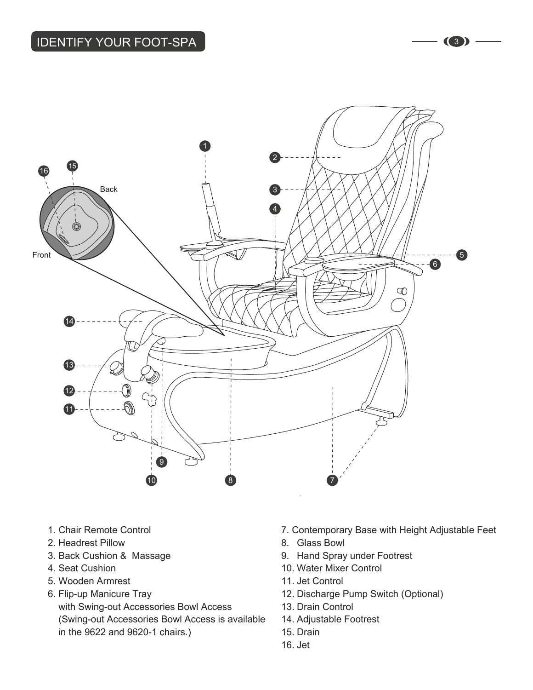

- 1. Chair Remote Control
- 2. Headrest Pillow
- 3. Back Cushion & Massage
- 4. Seat Cushion
- 5. Wooden Armrest
- 6. Flip-up Manicure Tray with Swing-out Accessories Bowl Access (Swing-out Accessories Bowl Access is available in the 9622 and 9620-1 chairs.)
- 7. Contemporary Base with Height Adjustable Feet
- 8. Glass Bowl
- 9. Hand Spray under Footrest
- 10. Water Mixer Control
- 11. Jet Control
- 12. Discharge Pump Switch (Optional)
- 13. Drain Control
- 14. Adjustable Footrest
- 15. Drain
- 16. Jet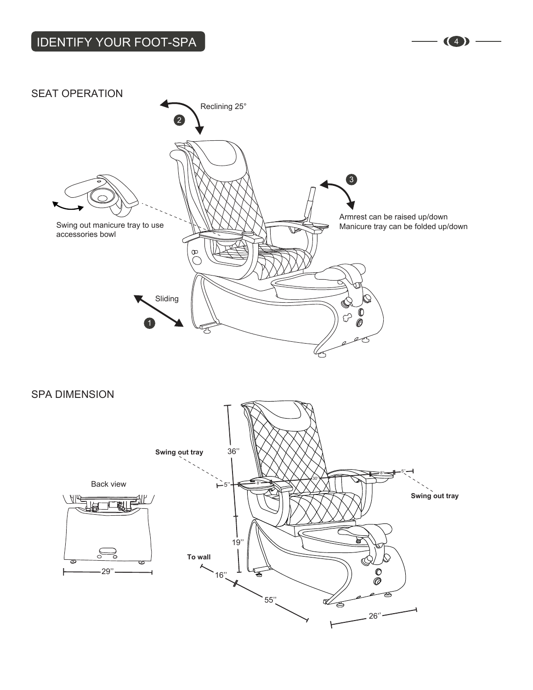## IDENTIFY YOUR FOOT-SPA  $\left| \begin{array}{ccc} \text{1D}\end{array}\right|$



SPA DIMENSION

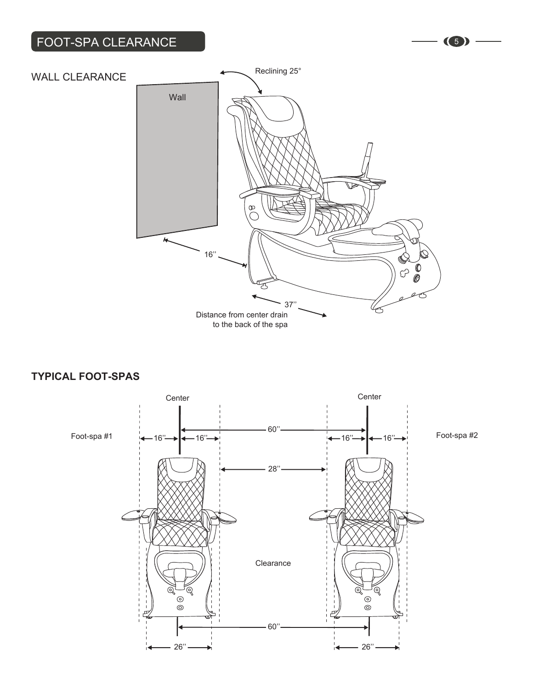## FOOT-SPA CLEARANCE (5)



## **TYPICAL FOOT-SPAS**

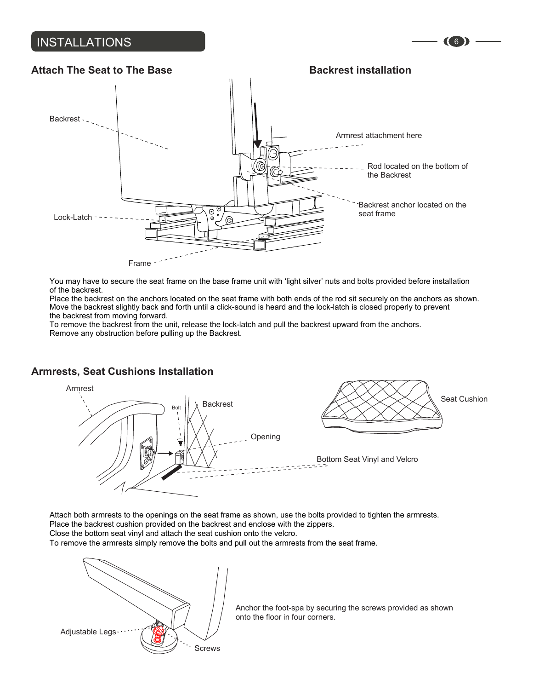## INSTALLATIONS (6)



You may have to secure the seat frame on the base frame unit with 'light silver' nuts and bolts provided before installation of the backrest.

Place the backrest on the anchors located on the seat frame with both ends of the rod sit securely on the anchors as shown. Move the backrest slightly back and forth until a click-sound is heard and the lock-latch is closed properly to prevent the backrest from moving forward.

To remove the backrest from the unit, release the lock-latch and pull the backrest upward from the anchors. Remove any obstruction before pulling up the Backrest.

## **Armrests, Seat Cushions Installation**



Attach both armrests to the openings on the seat frame as shown, use the bolts provided to tighten the armrests. Place the backrest cushion provided on the backrest and enclose with the zippers.

Close the bottom seat vinyl and attach the seat cushion onto the velcro.

To remove the armrests simply remove the bolts and pull out the armrests from the seat frame.

![](_page_7_Picture_10.jpeg)

Anchor the foot-spa by securing the screws provided as shown onto the floor in four corners.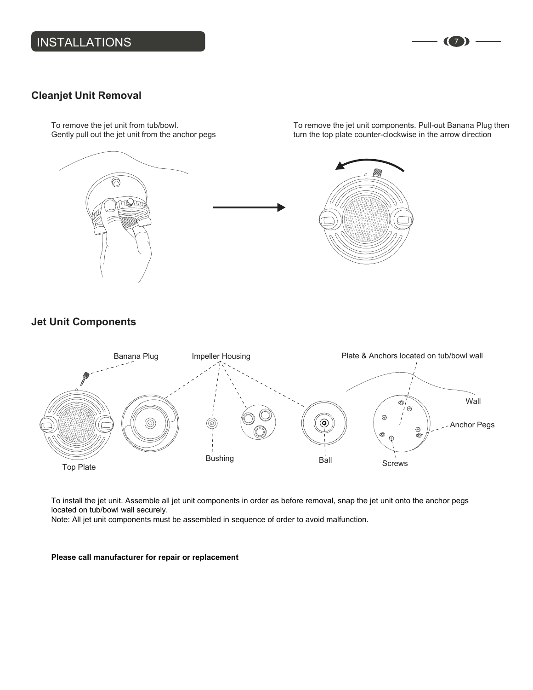## INSTALLATIONS (7)

## **Cleanjet Unit Removal**

To remove the jet unit from tub/bowl. Gently pull out the jet unit from the anchor pegs

![](_page_8_Picture_3.jpeg)

To remove the jet unit components. Pull-out Banana Plug then turn the top plate counter-clockwise in the arrow direction

**Jet Unit Components**

![](_page_8_Figure_5.jpeg)

To install the jet unit. Assemble all jet unit components in order as before removal, snap the jet unit onto the anchor pegs located on tub/bowl wall securely.

Note: All jet unit components must be assembled in sequence of order to avoid malfunction.

#### **Please call manufacturer for repair or replacement**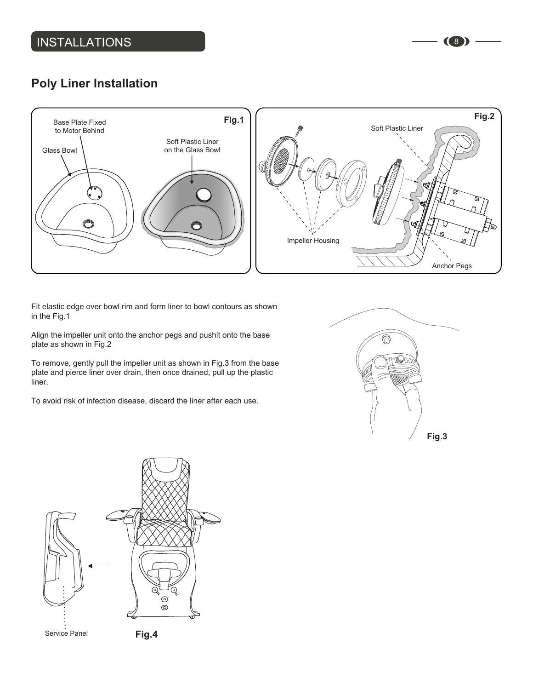## **Poly Liner Installation**

![](_page_9_Figure_2.jpeg)

Fit elastic edge over bowl rim and form liner to bowl contours as shown in the Fig.1

Align the impeller unit onto the anchor pegs and pushit onto the base plate as shown in Fig.2

To remove, gently pull the impeller unit as shown in Fig.3 from the base plate and pierce liner over drain, then once drained, pull up the plastic liner.

To avoid risk of infection disease, discard the liner after each use.

![](_page_9_Picture_7.jpeg)

![](_page_9_Figure_8.jpeg)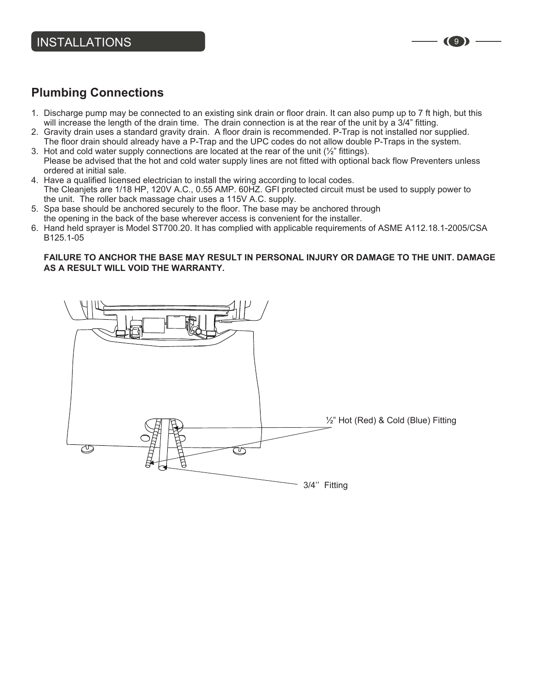## **Plumbing Connections**

- 1. Discharge pump may be connected to an existing sink drain or floor drain. It can also pump up to 7 ft high, but this will increase the length of the drain time. The drain connection is at the rear of the unit by a 3/4" fitting.
- 2. Gravity drain uses a standard gravity drain. A floor drain is recommended. P-Trap is not installed nor supplied. The floor drain should already have a P-Trap and the UPC codes do not allow double P-Traps in the system.
- 3. Hot and cold water supply connections are located at the rear of the unit  $(\frac{1}{2})^n$  fittings). Please be advised that the hot and cold water supply lines are not fitted with optional back flow Preventers unless ordered at initial sale.
- 4. Have a qualified licensed electrician to install the wiring according to local codes. The Cleanjets are 1/18 HP, 120V A.C., 0.55 AMP. 60HZ. GFI protected circuit must be used to supply power to the unit. The roller back massage chair uses a 115V A.C. supply.
- 5. Spa base should be anchored securely to the floor. The base may be anchored through the opening in the back of the base wherever access is convenient for the installer.
- 6. Hand held sprayer is Model ST700.20. It has complied with applicable requirements of ASME A112.18.1-2005/CSA B125.1-05

#### **FAILURE TO ANCHOR THE BASE MAY RESULT IN PERSONAL INJURY OR DAMAGE TO THE UNIT. DAMAGE AS A RESULT WILL VOID THE WARRANTY.**

![](_page_10_Picture_9.jpeg)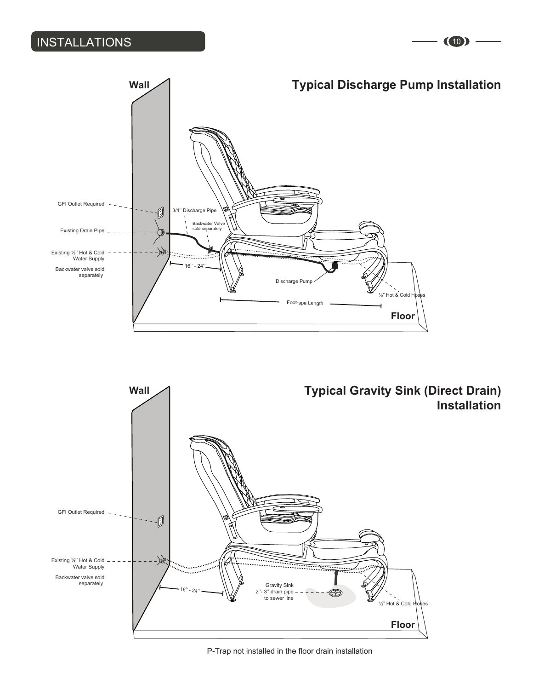## INSTALLATIONS (10)

## **Typical Discharge Pump Installation**

![](_page_11_Figure_2.jpeg)

![](_page_11_Picture_3.jpeg)

P-Trap not installed in the floor drain installation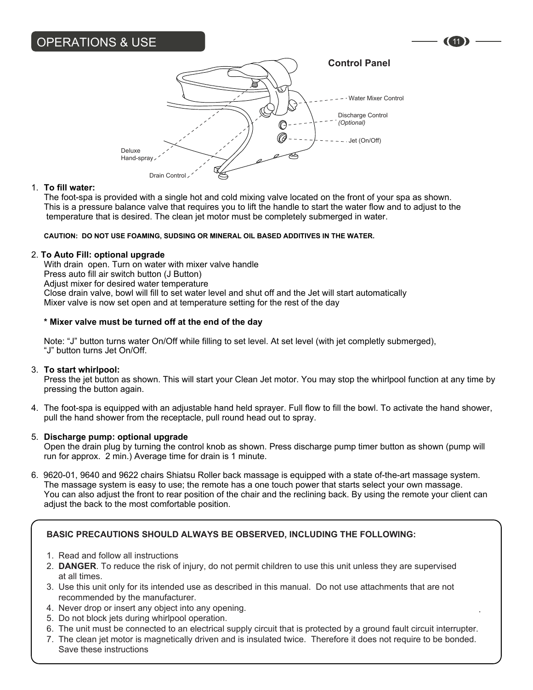## OPERATIONS & USE

## **Control Panel**

![](_page_12_Figure_2.jpeg)

#### 1. **To fill water:**

 The foot-spa is provided with a single hot and cold mixing valve located on the front of your spa as shown. This is a pressure balance valve that requires you to lift the handle to start the water flow and to adjust to the temperature that is desired. The clean jet motor must be completely submerged in water.

#### **CAUTION: DO NOT USE FOAMING, SUDSING OR MINERAL OIL BASED ADDITIVES IN THE WATER.**

#### 2. **To Auto Fill: optional upgrade**

 With drain open. Turn on water with mixer valve handle Press auto fill air switch button (J Button) Adjust mixer for desired water temperature Close drain valve, bowl will fill to set water level and shut off and the Jet will start automatically Mixer valve is now set open and at temperature setting for the rest of the day

#### **\* Mixer valve must be turned off at the end of the day**

 Note: "J" button turns water On/Off while filling to set level. At set level (with jet completly submerged), "J" button turns Jet On/Off.

#### 3. **To start whirlpool:**

 Press the jet button as shown. This will start your Clean Jet motor. You may stop the whirlpool function at any time by pressing the button again.

4. The foot-spa is equipped with an adjustable hand held sprayer. Full flow to fill the bowl. To activate the hand shower, pull the hand shower from the receptacle, pull round head out to spray.

#### 5. **Discharge pump: optional upgrade**

 Open the drain plug by turning the control knob as shown. Press discharge pump timer button as shown (pump will run for approx. 2 min.) Average time for drain is 1 minute.

6. 9620-01, 9640 and 9622 chairs Shiatsu Roller back massage is equipped with a state of-the-art massage system. The massage system is easy to use; the remote has a one touch power that starts select your own massage. You can also adjust the front to rear position of the chair and the reclining back. By using the remote your client can adjust the back to the most comfortable position.

### **BASIC PRECAUTIONS SHOULD ALWAYS BE OBSERVED, INCLUDING THE FOLLOWING:**

- 1. Read and follow all instructions
- 2. **DANGER**. To reduce the risk of injury, do not permit children to use this unit unless they are supervised at all times.
- 3. Use this unit only for its intended use as described in this manual. Do not use attachments that are not recommended by the manufacturer.
- 4. Never drop or insert any object into any opening.
- 5. Do not block jets during whirlpool operation.
- 6. The unit must be connected to an electrical supply circuit that is protected by a ground fault circuit interrupter.

.

7. The clean jet motor is magnetically driven and is insulated twice. Therefore it does not require to be bonded. Save these instructions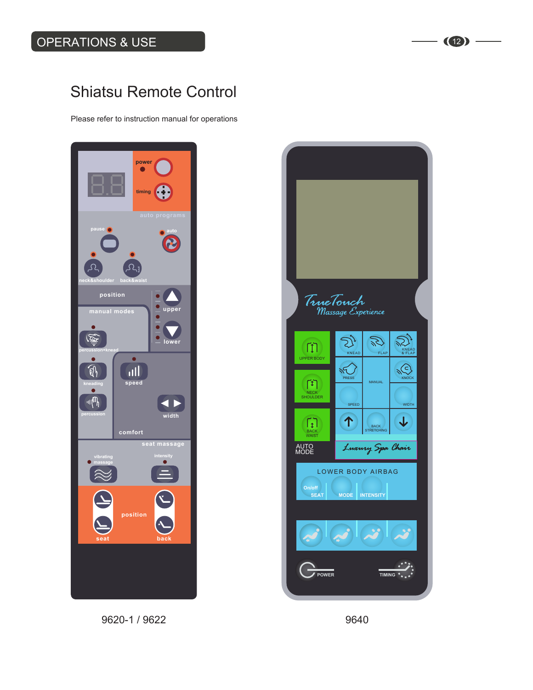## Shiatsu Remote Control

Please refer to instruction manual for operations

![](_page_13_Picture_3.jpeg)

9620-1 / 9622 9640

![](_page_13_Picture_5.jpeg)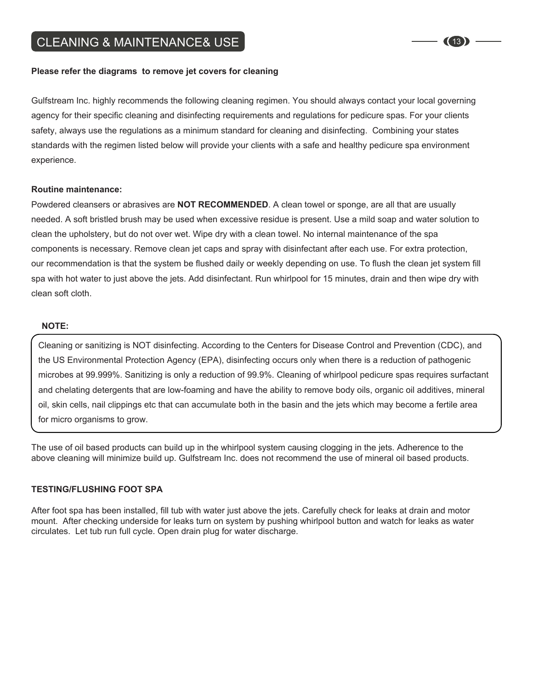#### **Please refer the diagrams to remove jet covers for cleaning**

Gulfstream Inc. highly recommends the following cleaning regimen. You should always contact your local governing agency for their specific cleaning and disinfecting requirements and regulations for pedicure spas. For your clients safety, always use the regulations as a minimum standard for cleaning and disinfecting. Combining your states standards with the regimen listed below will provide your clients with a safe and healthy pedicure spa environment experience.

#### **Routine maintenance:**

Powdered cleansers or abrasives are **NOT RECOMMENDED**. A clean towel or sponge, are all that are usually needed. A soft bristled brush may be used when excessive residue is present. Use a mild soap and water solution to clean the upholstery, but do not over wet. Wipe dry with a clean towel. No internal maintenance of the spa components is necessary. Remove clean jet caps and spray with disinfectant after each use. For extra protection, our recommendation is that the system be flushed daily or weekly depending on use. To flush the clean jet system fill spa with hot water to just above the jets. Add disinfectant. Run whirlpool for 15 minutes, drain and then wipe dry with clean soft cloth.

#### **NOTE:**

Cleaning or sanitizing is NOT disinfecting. According to the Centers for Disease Control and Prevention (CDC), and the US Environmental Protection Agency (EPA), disinfecting occurs only when there is a reduction of pathogenic microbes at 99.999%. Sanitizing is only a reduction of 99.9%. Cleaning of whirlpool pedicure spas requires surfactant and chelating detergents that are low-foaming and have the ability to remove body oils, organic oil additives, mineral oil, skin cells, nail clippings etc that can accumulate both in the basin and the jets which may become a fertile area for micro organisms to grow.

The use of oil based products can build up in the whirlpool system causing clogging in the jets. Adherence to the above cleaning will minimize build up. Gulfstream Inc. does not recommend the use of mineral oil based products.

#### **TESTING/FLUSHING FOOT SPA**

After foot spa has been installed, fill tub with water just above the jets. Carefully check for leaks at drain and motor mount. After checking underside for leaks turn on system by pushing whirlpool button and watch for leaks as water circulates. Let tub run full cycle. Open drain plug for water discharge.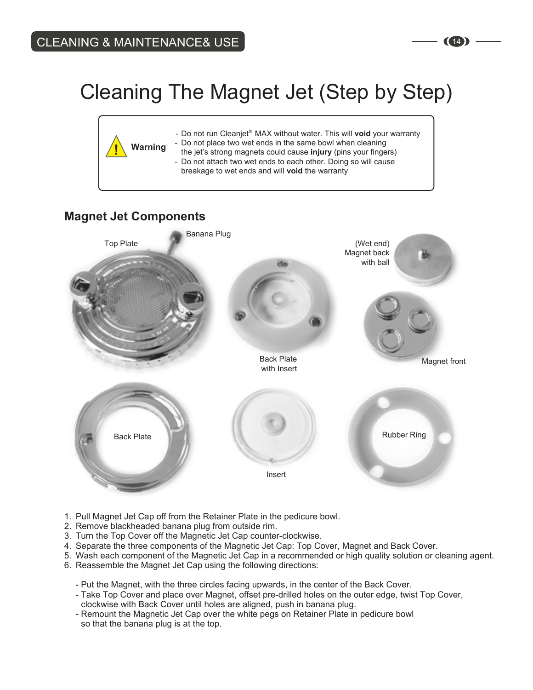## Cleaning The Magnet Jet (Step by Step)

![](_page_15_Figure_2.jpeg)

## **Magnet Jet Components**

![](_page_15_Figure_4.jpeg)

- 1. Pull Magnet Jet Cap off from the Retainer Plate in the pedicure bowl.
- 2. Remove blackheaded banana plug from outside rim.
- 3. Turn the Top Cover off the Magnetic Jet Cap counter-clockwise.
- 4. Separate the three components of the Magnetic Jet Cap: Top Cover, Magnet and Back Cover.
- 5. Wash each component of the Magnetic Jet Cap in a recommended or high quality solution or cleaning agent.
- 6. Reassemble the Magnet Jet Cap using the following directions:
	- Put the Magnet, with the three circles facing upwards, in the center of the Back Cover.
	- Take Top Cover and place over Magnet, offset pre-drilled holes on the outer edge, twist Top Cover,
	- clockwise with Back Cover until holes are aligned, push in banana plug.
	- Remount the Magnetic Jet Cap over the white pegs on Retainer Plate in pedicure bowl so that the banana plug is at the top.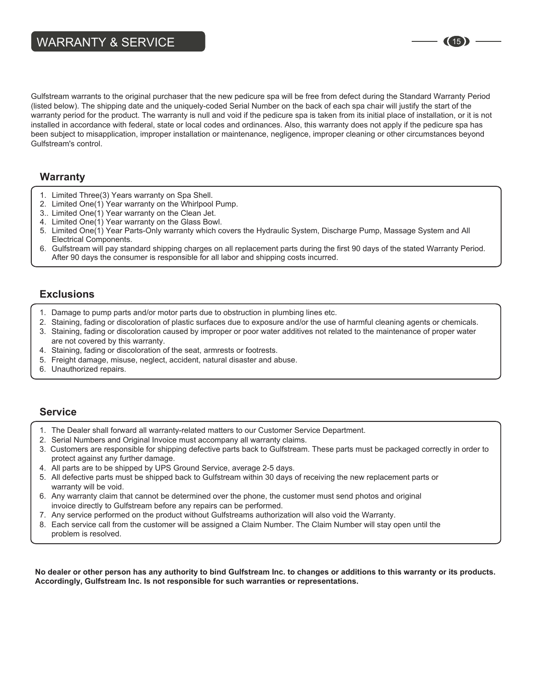Gulfstream warrants to the original purchaser that the new pedicure spa will be free from defect during the Standard Warranty Period (listed below). The shipping date and the uniquely-coded Serial Number on the back of each spa chair will justify the start of the warranty period for the product. The warranty is null and void if the pedicure spa is taken from its initial place of installation, or it is not installed in accordance with federal, state or local codes and ordinances. Also, this warranty does not apply if the pedicure spa has been subject to misapplication, improper installation or maintenance, negligence, improper cleaning or other circumstances beyond Gulfstream's control.

## **Warranty**

- 1. Limited Three(3) Years warranty on Spa Shell.
- 2. Limited One(1) Year warranty on the Whirlpool Pump.
- 3.. Limited One(1) Year warranty on the Clean Jet.
- 4. Limited One(1) Year warranty on the Glass Bowl.
- 5. Limited One(1) Year Parts-Only warranty which covers the Hydraulic System, Discharge Pump, Massage System and All Electrical Components.
- 6. Gulfstream will pay standard shipping charges on all replacement parts during the first 90 days of the stated Warranty Period. After 90 days the consumer is responsible for all labor and shipping costs incurred.

## **Exclusions**

- 1. Damage to pump parts and/or motor parts due to obstruction in plumbing lines etc.
- 2. Staining, fading or discoloration of plastic surfaces due to exposure and/or the use of harmful cleaning agents or chemicals. 3. Staining, fading or discoloration caused by improper or poor water additives not related to the maintenance of proper water are not covered by this warranty.
- 4. Staining, fading or discoloration of the seat, armrests or footrests.
- 5. Freight damage, misuse, neglect, accident, natural disaster and abuse.
- 6. Unauthorized repairs.

### **Service**

- 1. The Dealer shall forward all warranty-related matters to our Customer Service Department.
- 2. Serial Numbers and Original Invoice must accompany all warranty claims.
- 3. Customers are responsible for shipping defective parts back to Gulfstream. These parts must be packaged correctly in order to protect against any further damage.
- 4. All parts are to be shipped by UPS Ground Service, average 2-5 days.
- 5. All defective parts must be shipped back to Gulfstream within 30 days of receiving the new replacement parts or warranty will be void.
- 6. Any warranty claim that cannot be determined over the phone, the customer must send photos and original invoice directly to Gulfstream before any repairs can be performed.
- 7. Any service performed on the product without Gulfstreams authorization will also void the Warranty.
- 8. Each service call from the customer will be assigned a Claim Number. The Claim Number will stay open until the problem is resolved.

**No dealer or other person has any authority to bind Gulfstream Inc. to changes or additions to this warranty or its products. Accordingly, Gulfstream Inc. Is not responsible for such warranties or representations.**